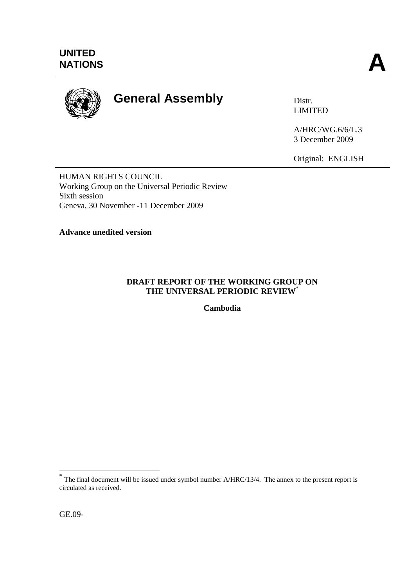

# **General Assembly** Distr.

LIMITED

A/HRC/WG.6/6/L.3 3 December 2009

Original: ENGLISH

HUMAN RIGHTS COUNCIL Working Group on the Universal Periodic Review Sixth session Geneva, 30 November -11 December 2009

**Advance unedited version** 

# **DRAFT REPORT OF THE WORKING GROUP ON THE UNIVERSAL PERIODIC REVIEW**\*

**Cambodia**

<sup>&</sup>lt;sup>\*</sup><br>
The final document will be issued under symbol number A/HRC/13/4. The annex to the present report is circulated as received.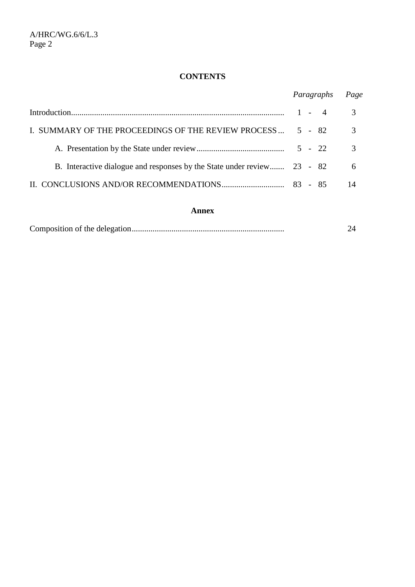# **CONTENTS**

|                                                                         | Paragraphs | Page          |
|-------------------------------------------------------------------------|------------|---------------|
|                                                                         |            | 3             |
| I. SUMMARY OF THE PROCEEDINGS OF THE REVIEW PROCESS                     | 5 - 82     | 3             |
|                                                                         |            | $\mathcal{R}$ |
| B. Interactive dialogue and responses by the State under review 23 - 82 |            | 6             |
|                                                                         |            | 14            |

#### **Annex**

|--|--|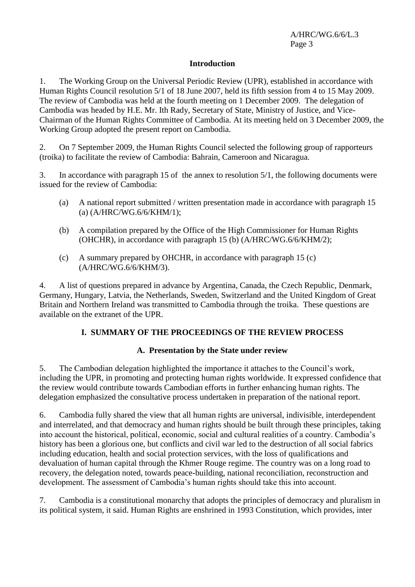#### **Introduction**

1. The Working Group on the Universal Periodic Review (UPR), established in accordance with Human Rights Council resolution 5/1 of 18 June 2007, held its fifth session from 4 to 15 May 2009. The review of Cambodia was held at the fourth meeting on 1 December 2009. The delegation of Cambodia was headed by H.E. Mr. Ith Rady, Secretary of State, Ministry of Justice, and Vice-Chairman of the Human Rights Committee of Cambodia. At its meeting held on 3 December 2009, the Working Group adopted the present report on Cambodia.

2. On 7 September 2009, the Human Rights Council selected the following group of rapporteurs (troika) to facilitate the review of Cambodia: Bahrain, Cameroon and Nicaragua.

3. In accordance with paragraph 15 of the annex to resolution 5/1, the following documents were issued for the review of Cambodia:

- (a) A national report submitted / written presentation made in accordance with paragraph 15 (a) (A/HRC/WG.6/6/KHM/1);
- (b) A compilation prepared by the Office of the High Commissioner for Human Rights (OHCHR), in accordance with paragraph 15 (b) (A/HRC/WG.6/6/KHM/2);
- (c) A summary prepared by OHCHR, in accordance with paragraph 15  $(c)$ (A/HRC/WG.6/6/KHM/3).

4. A list of questions prepared in advance by Argentina, Canada, the Czech Republic, Denmark, Germany, Hungary, Latvia, the Netherlands, Sweden, Switzerland and the United Kingdom of Great Britain and Northern Ireland was transmitted to Cambodia through the troika. These questions are available on the extranet of the UPR.

# **I. SUMMARY OF THE PROCEEDINGS OF THE REVIEW PROCESS**

# **A. Presentation by the State under review**

5. The Cambodian delegation highlighted the importance it attaches to the Council's work, including the UPR, in promoting and protecting human rights worldwide. It expressed confidence that the review would contribute towards Cambodian efforts in further enhancing human rights. The delegation emphasized the consultative process undertaken in preparation of the national report.

6. Cambodia fully shared the view that all human rights are universal, indivisible, interdependent and interrelated, and that democracy and human rights should be built through these principles, taking into account the historical, political, economic, social and cultural realities of a country. Cambodia's history has been a glorious one, but conflicts and civil war led to the destruction of all social fabrics including education, health and social protection services, with the loss of qualifications and devaluation of human capital through the Khmer Rouge regime. The country was on a long road to recovery, the delegation noted, towards peace-building, national reconciliation, reconstruction and development. The assessment of Cambodia's human rights should take this into account.

7. Cambodia is a constitutional monarchy that adopts the principles of democracy and pluralism in its political system, it said. Human Rights are enshrined in 1993 Constitution, which provides, inter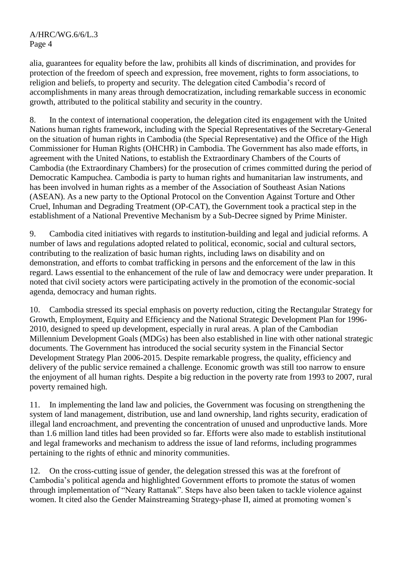alia, guarantees for equality before the law, prohibits all kinds of discrimination, and provides for protection of the freedom of speech and expression, free movement, rights to form associations, to religion and beliefs, to property and security. The delegation cited Cambodia's record of accomplishments in many areas through democratization, including remarkable success in economic growth, attributed to the political stability and security in the country.

8. In the context of international cooperation, the delegation cited its engagement with the United Nations human rights framework, including with the Special Representatives of the Secretary-General on the situation of human rights in Cambodia (the Special Representative) and the Office of the High Commissioner for Human Rights (OHCHR) in Cambodia. The Government has also made efforts, in agreement with the United Nations, to establish the Extraordinary Chambers of the Courts of Cambodia (the Extraordinary Chambers) for the prosecution of crimes committed during the period of Democratic Kampuchea. Cambodia is party to human rights and humanitarian law instruments, and has been involved in human rights as a member of the Association of Southeast Asian Nations (ASEAN). As a new party to the Optional Protocol on the Convention Against Torture and Other Cruel, Inhuman and Degrading Treatment (OP-CAT), the Government took a practical step in the establishment of a National Preventive Mechanism by a Sub-Decree signed by Prime Minister.

9. Cambodia cited initiatives with regards to institution-building and legal and judicial reforms. A number of laws and regulations adopted related to political, economic, social and cultural sectors, contributing to the realization of basic human rights, including laws on disability and on demonstration, and efforts to combat trafficking in persons and the enforcement of the law in this regard. Laws essential to the enhancement of the rule of law and democracy were under preparation. It noted that civil society actors were participating actively in the promotion of the economic-social agenda, democracy and human rights.

10. Cambodia stressed its special emphasis on poverty reduction, citing the Rectangular Strategy for Growth, Employment, Equity and Efficiency and the National Strategic Development Plan for 1996- 2010, designed to speed up development, especially in rural areas. A plan of the Cambodian Millennium Development Goals (MDGs) has been also established in line with other national strategic documents. The Government has introduced the social security system in the Financial Sector Development Strategy Plan 2006-2015. Despite remarkable progress, the quality, efficiency and delivery of the public service remained a challenge. Economic growth was still too narrow to ensure the enjoyment of all human rights. Despite a big reduction in the poverty rate from 1993 to 2007, rural poverty remained high.

11. In implementing the land law and policies, the Government was focusing on strengthening the system of land management, distribution, use and land ownership, land rights security, eradication of illegal land encroachment, and preventing the concentration of unused and unproductive lands. More than 1.6 million land titles had been provided so far. Efforts were also made to establish institutional and legal frameworks and mechanism to address the issue of land reforms, including programmes pertaining to the rights of ethnic and minority communities.

12. On the cross-cutting issue of gender, the delegation stressed this was at the forefront of Cambodia's political agenda and highlighted Government efforts to promote the status of women through implementation of "Neary Rattanak". Steps have also been taken to tackle violence against women. It cited also the Gender Mainstreaming Strategy-phase II, aimed at promoting women's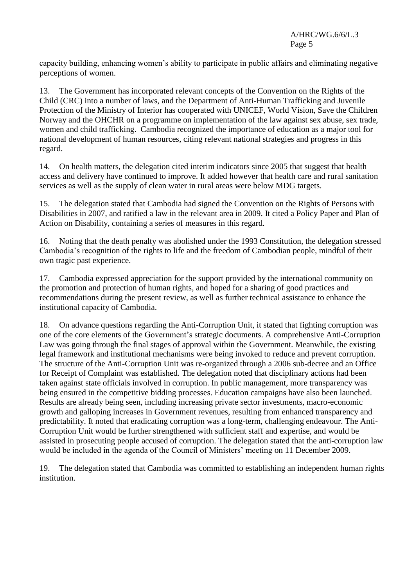capacity building, enhancing women's ability to participate in public affairs and eliminating negative perceptions of women.

13. The Government has incorporated relevant concepts of the Convention on the Rights of the Child (CRC) into a number of laws, and the Department of Anti-Human Trafficking and Juvenile Protection of the Ministry of Interior has cooperated with UNICEF, World Vision, Save the Children Norway and the OHCHR on a programme on implementation of the law against sex abuse, sex trade, women and child trafficking. Cambodia recognized the importance of education as a major tool for national development of human resources, citing relevant national strategies and progress in this regard.

14. On health matters, the delegation cited interim indicators since 2005 that suggest that health access and delivery have continued to improve. It added however that health care and rural sanitation services as well as the supply of clean water in rural areas were below MDG targets.

15. The delegation stated that Cambodia had signed the Convention on the Rights of Persons with Disabilities in 2007, and ratified a law in the relevant area in 2009. It cited a Policy Paper and Plan of Action on Disability, containing a series of measures in this regard.

16. Noting that the death penalty was abolished under the 1993 Constitution, the delegation stressed Cambodia's recognition of the rights to life and the freedom of Cambodian people, mindful of their own tragic past experience.

17. Cambodia expressed appreciation for the support provided by the international community on the promotion and protection of human rights, and hoped for a sharing of good practices and recommendations during the present review, as well as further technical assistance to enhance the institutional capacity of Cambodia.

18. On advance questions regarding the Anti-Corruption Unit, it stated that fighting corruption was one of the core elements of the Government's strategic documents. A comprehensive Anti-Corruption Law was going through the final stages of approval within the Government. Meanwhile, the existing legal framework and institutional mechanisms were being invoked to reduce and prevent corruption. The structure of the Anti-Corruption Unit was re-organized through a 2006 sub-decree and an Office for Receipt of Complaint was established. The delegation noted that disciplinary actions had been taken against state officials involved in corruption. In public management, more transparency was being ensured in the competitive bidding processes. Education campaigns have also been launched. Results are already being seen, including increasing private sector investments, macro-economic growth and galloping increases in Government revenues, resulting from enhanced transparency and predictability. It noted that eradicating corruption was a long-term, challenging endeavour. The Anti-Corruption Unit would be further strengthened with sufficient staff and expertise, and would be assisted in prosecuting people accused of corruption. The delegation stated that the anti-corruption law would be included in the agenda of the Council of Ministers' meeting on 11 December 2009.

19. The delegation stated that Cambodia was committed to establishing an independent human rights institution.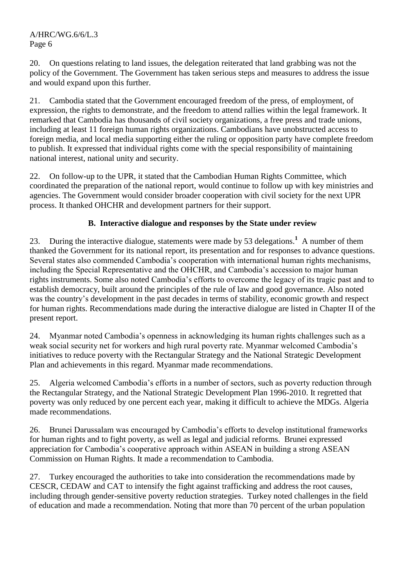20. On questions relating to land issues, the delegation reiterated that land grabbing was not the policy of the Government. The Government has taken serious steps and measures to address the issue and would expand upon this further.

21. Cambodia stated that the Government encouraged freedom of the press, of employment, of expression, the rights to demonstrate, and the freedom to attend rallies within the legal framework. It remarked that Cambodia has thousands of civil society organizations, a free press and trade unions, including at least 11 foreign human rights organizations. Cambodians have unobstructed access to foreign media, and local media supporting either the ruling or opposition party have complete freedom to publish. It expressed that individual rights come with the special responsibility of maintaining national interest, national unity and security.

22. On follow-up to the UPR, it stated that the Cambodian Human Rights Committee, which coordinated the preparation of the national report, would continue to follow up with key ministries and agencies. The Government would consider broader cooperation with civil society for the next UPR process. It thanked OHCHR and development partners for their support.

# **B. Interactive dialogue and responses by the State under review**

23. During the interactive dialogue, statements were made by 53 delegations.**<sup>1</sup>** A number of them thanked the Government for its national report, its presentation and for responses to advance questions. Several states also commended Cambodia's cooperation with international human rights mechanisms, including the Special Representative and the OHCHR, and Cambodia's accession to major human rights instruments. Some also noted Cambodia's efforts to overcome the legacy of its tragic past and to establish democracy, built around the principles of the rule of law and good governance. Also noted was the country's development in the past decades in terms of stability, economic growth and respect for human rights. Recommendations made during the interactive dialogue are listed in Chapter II of the present report.

24. Myanmar noted Cambodia's openness in acknowledging its human rights challenges such as a weak social security net for workers and high rural poverty rate. Myanmar welcomed Cambodia's initiatives to reduce poverty with the Rectangular Strategy and the National Strategic Development Plan and achievements in this regard. Myanmar made recommendations.

25. Algeria welcomed Cambodia's efforts in a number of sectors, such as poverty reduction through the Rectangular Strategy, and the National Strategic Development Plan 1996-2010. It regretted that poverty was only reduced by one percent each year, making it difficult to achieve the MDGs. Algeria made recommendations.

26. Brunei Darussalam was encouraged by Cambodia's efforts to develop institutional frameworks for human rights and to fight poverty, as well as legal and judicial reforms. Brunei expressed appreciation for Cambodia's cooperative approach within ASEAN in building a strong ASEAN Commission on Human Rights. It made a recommendation to Cambodia.

27. Turkey encouraged the authorities to take into consideration the recommendations made by CESCR, CEDAW and CAT to intensify the fight against trafficking and address the root causes, including through gender-sensitive poverty reduction strategies. Turkey noted challenges in the field of education and made a recommendation. Noting that more than 70 percent of the urban population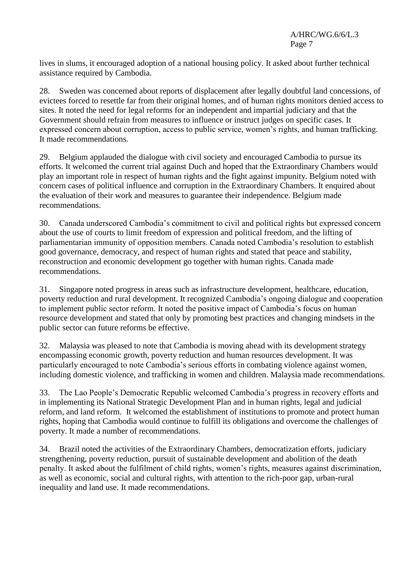lives in slums, it encouraged adoption of a national housing policy. It asked about further technical assistance required by Cambodia.

28. Sweden was concerned about reports of displacement after legally doubtful land concessions, of evictees forced to resettle far from their original homes, and of human rights monitors denied access to sites. It noted the need for legal reforms for an independent and impartial judiciary and that the Government should refrain from measures to influence or instruct judges on specific cases. It expressed concern about corruption, access to public service, women's rights, and human trafficking. It made recommendations.

29. Belgium applauded the dialogue with civil society and encouraged Cambodia to pursue its efforts. It welcomed the current trial against Duch and hoped that the Extraordinary Chambers would play an important role in respect of human rights and the fight against impunity. Belgium noted with concern cases of political influence and corruption in the Extraordinary Chambers. It enquired about the evaluation of their work and measures to guarantee their independence. Belgium made recommendations.

30. Canada underscored Cambodia's commitment to civil and political rights but expressed concern about the use of courts to limit freedom of expression and political freedom, and the lifting of parliamentarian immunity of opposition members. Canada noted Cambodia's resolution to establish good governance, democracy, and respect of human rights and stated that peace and stability, reconstruction and economic development go together with human rights. Canada made recommendations.

31. Singapore noted progress in areas such as infrastructure development, healthcare, education, poverty reduction and rural development. It recognized Cambodia's ongoing dialogue and cooperation to implement public sector reform. It noted the positive impact of Cambodia's focus on human resource development and stated that only by promoting best practices and changing mindsets in the public sector can future reforms be effective.

32. Malaysia was pleased to note that Cambodia is moving ahead with its development strategy encompassing economic growth, poverty reduction and human resources development. It was particularly encouraged to note Cambodia's serious efforts in combating violence against women, including domestic violence, and trafficking in women and children. Malaysia made recommendations.

33. The Lao People's Democratic Republic welcomed Cambodia's progress in recovery efforts and in implementing its National Strategic Development Plan and in human rights, legal and judicial reform, and land reform. It welcomed the establishment of institutions to promote and protect human rights, hoping that Cambodia would continue to fulfill its obligations and overcome the challenges of poverty. It made a number of recommendations.

34. Brazil noted the activities of the Extraordinary Chambers, democratization efforts, judiciary strengthening, poverty reduction, pursuit of sustainable development and abolition of the death penalty. It asked about the fulfilment of child rights, women's rights, measures against discrimination, as well as economic, social and cultural rights, with attention to the rich-poor gap, urban-rural inequality and land use. It made recommendations.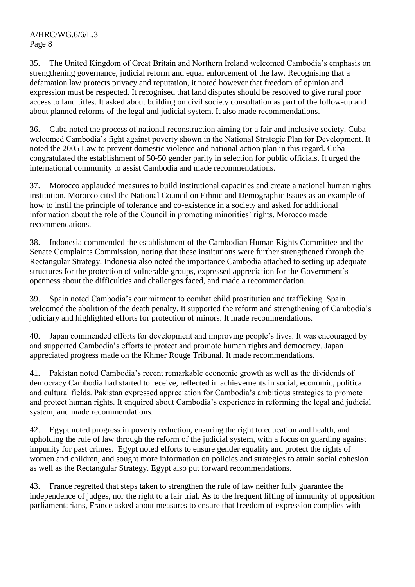35. The United Kingdom of Great Britain and Northern Ireland welcomed Cambodia's emphasis on strengthening governance, judicial reform and equal enforcement of the law. Recognising that a defamation law protects privacy and reputation, it noted however that freedom of opinion and expression must be respected. It recognised that land disputes should be resolved to give rural poor access to land titles. It asked about building on civil society consultation as part of the follow-up and about planned reforms of the legal and judicial system. It also made recommendations.

36. Cuba noted the process of national reconstruction aiming for a fair and inclusive society. Cuba welcomed Cambodia's fight against poverty shown in the National Strategic Plan for Development. It noted the 2005 Law to prevent domestic violence and national action plan in this regard. Cuba congratulated the establishment of 50-50 gender parity in selection for public officials. It urged the international community to assist Cambodia and made recommendations.

37. Morocco applauded measures to build institutional capacities and create a national human rights institution. Morocco cited the National Council on Ethnic and Demographic Issues as an example of how to instil the principle of tolerance and co-existence in a society and asked for additional information about the role of the Council in promoting minorities' rights. Morocco made recommendations.

38. Indonesia commended the establishment of the Cambodian Human Rights Committee and the Senate Complaints Commission, noting that these institutions were further strengthened through the Rectangular Strategy. Indonesia also noted the importance Cambodia attached to setting up adequate structures for the protection of vulnerable groups, expressed appreciation for the Government's openness about the difficulties and challenges faced, and made a recommendation.

39. Spain noted Cambodia's commitment to combat child prostitution and trafficking. Spain welcomed the abolition of the death penalty. It supported the reform and strengthening of Cambodia's judiciary and highlighted efforts for protection of minors. It made recommendations.

40. Japan commended efforts for development and improving people's lives. It was encouraged by and supported Cambodia's efforts to protect and promote human rights and democracy. Japan appreciated progress made on the Khmer Rouge Tribunal. It made recommendations.

41. Pakistan noted Cambodia's recent remarkable economic growth as well as the dividends of democracy Cambodia had started to receive, reflected in achievements in social, economic, political and cultural fields. Pakistan expressed appreciation for Cambodia's ambitious strategies to promote and protect human rights. It enquired about Cambodia's experience in reforming the legal and judicial system, and made recommendations.

42. Egypt noted progress in poverty reduction, ensuring the right to education and health, and upholding the rule of law through the reform of the judicial system, with a focus on guarding against impunity for past crimes. Egypt noted efforts to ensure gender equality and protect the rights of women and children, and sought more information on policies and strategies to attain social cohesion as well as the Rectangular Strategy. Egypt also put forward recommendations.

43. France regretted that steps taken to strengthen the rule of law neither fully guarantee the independence of judges, nor the right to a fair trial. As to the frequent lifting of immunity of opposition parliamentarians, France asked about measures to ensure that freedom of expression complies with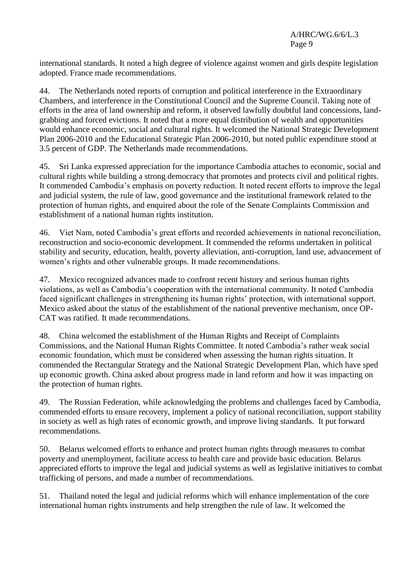international standards. It noted a high degree of violence against women and girls despite legislation adopted. France made recommendations.

44. The Netherlands noted reports of corruption and political interference in the Extraordinary Chambers, and interference in the Constitutional Council and the Supreme Council. Taking note of efforts in the area of land ownership and reform, it observed lawfully doubtful land concessions, landgrabbing and forced evictions. It noted that a more equal distribution of wealth and opportunities would enhance economic, social and cultural rights. It welcomed the National Strategic Development Plan 2006-2010 and the Educational Strategic Plan 2006-2010, but noted public expenditure stood at 3.5 percent of GDP. The Netherlands made recommendations.

45. Sri Lanka expressed appreciation for the importance Cambodia attaches to economic, social and cultural rights while building a strong democracy that promotes and protects civil and political rights. It commended Cambodia's emphasis on poverty reduction. It noted recent efforts to improve the legal and judicial system, the rule of law, good governance and the institutional framework related to the protection of human rights, and enquired about the role of the Senate Complaints Commission and establishment of a national human rights institution.

46. Viet Nam, noted Cambodia's great efforts and recorded achievements in national reconciliation, reconstruction and socio-economic development. It commended the reforms undertaken in political stability and security, education, health, poverty alleviation, anti-corruption, land use, advancement of women's rights and other vulnerable groups. It made recommendations.

47. Mexico recognized advances made to confront recent history and serious human rights violations, as well as Cambodia's cooperation with the international community. It noted Cambodia faced significant challenges in strengthening its human rights' protection, with international support. Mexico asked about the status of the establishment of the national preventive mechanism, once OP-CAT was ratified. It made recommendations.

48. China welcomed the establishment of the Human Rights and Receipt of Complaints Commissions, and the National Human Rights Committee. It noted Cambodia's rather weak social economic foundation, which must be considered when assessing the human rights situation. It commended the Rectangular Strategy and the National Strategic Development Plan, which have sped up economic growth. China asked about progress made in land reform and how it was impacting on the protection of human rights.

49. The Russian Federation, while acknowledging the problems and challenges faced by Cambodia, commended efforts to ensure recovery, implement a policy of national reconciliation, support stability in society as well as high rates of economic growth, and improve living standards. It put forward recommendations.

50. Belarus welcomed efforts to enhance and protect human rights through measures to combat poverty and unemployment, facilitate access to health care and provide basic education. Belarus appreciated efforts to improve the legal and judicial systems as well as legislative initiatives to combat trafficking of persons, and made a number of recommendations.

51. Thailand noted the legal and judicial reforms which will enhance implementation of the core international human rights instruments and help strengthen the rule of law. It welcomed the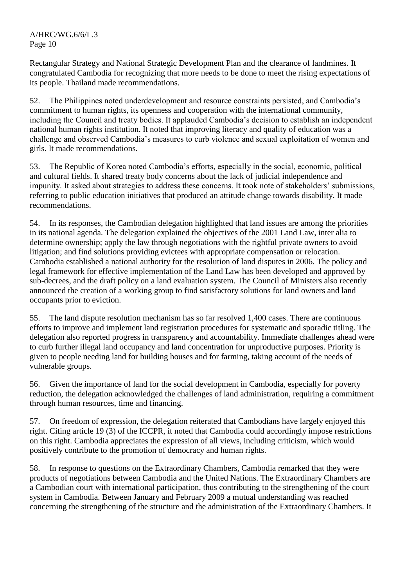Rectangular Strategy and National Strategic Development Plan and the clearance of landmines. It congratulated Cambodia for recognizing that more needs to be done to meet the rising expectations of its people. Thailand made recommendations.

52. The Philippines noted underdevelopment and resource constraints persisted, and Cambodia's commitment to human rights, its openness and cooperation with the international community, including the Council and treaty bodies. It applauded Cambodia's decision to establish an independent national human rights institution. It noted that improving literacy and quality of education was a challenge and observed Cambodia's measures to curb violence and sexual exploitation of women and girls. It made recommendations.

53. The Republic of Korea noted Cambodia's efforts, especially in the social, economic, political and cultural fields. It shared treaty body concerns about the lack of judicial independence and impunity. It asked about strategies to address these concerns. It took note of stakeholders' submissions, referring to public education initiatives that produced an attitude change towards disability. It made recommendations.

54. In its responses, the Cambodian delegation highlighted that land issues are among the priorities in its national agenda. The delegation explained the objectives of the 2001 Land Law, inter alia to determine ownership; apply the law through negotiations with the rightful private owners to avoid litigation; and find solutions providing evictees with appropriate compensation or relocation. Cambodia established a national authority for the resolution of land disputes in 2006. The policy and legal framework for effective implementation of the Land Law has been developed and approved by sub-decrees, and the draft policy on a land evaluation system. The Council of Ministers also recently announced the creation of a working group to find satisfactory solutions for land owners and land occupants prior to eviction.

55. The land dispute resolution mechanism has so far resolved 1,400 cases. There are continuous efforts to improve and implement land registration procedures for systematic and sporadic titling. The delegation also reported progress in transparency and accountability. Immediate challenges ahead were to curb further illegal land occupancy and land concentration for unproductive purposes. Priority is given to people needing land for building houses and for farming, taking account of the needs of vulnerable groups.

56. Given the importance of land for the social development in Cambodia, especially for poverty reduction, the delegation acknowledged the challenges of land administration, requiring a commitment through human resources, time and financing.

57. On freedom of expression, the delegation reiterated that Cambodians have largely enjoyed this right. Citing article 19 (3) of the ICCPR, it noted that Cambodia could accordingly impose restrictions on this right. Cambodia appreciates the expression of all views, including criticism, which would positively contribute to the promotion of democracy and human rights.

58. In response to questions on the Extraordinary Chambers, Cambodia remarked that they were products of negotiations between Cambodia and the United Nations. The Extraordinary Chambers are a Cambodian court with international participation, thus contributing to the strengthening of the court system in Cambodia. Between January and February 2009 a mutual understanding was reached concerning the strengthening of the structure and the administration of the Extraordinary Chambers. It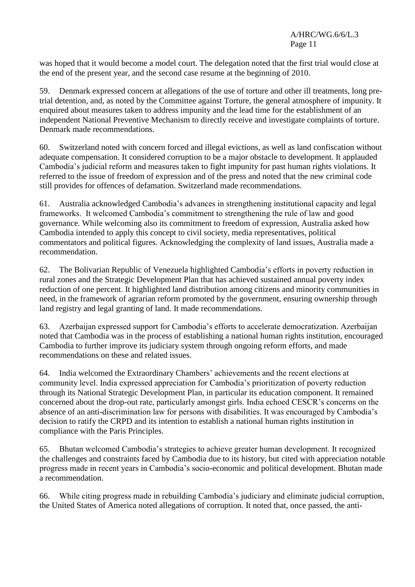was hoped that it would become a model court. The delegation noted that the first trial would close at the end of the present year, and the second case resume at the beginning of 2010.

59. Denmark expressed concern at allegations of the use of torture and other ill treatments, long pretrial detention, and, as noted by the Committee against Torture, the general atmosphere of impunity. It enquired about measures taken to address impunity and the lead time for the establishment of an independent National Preventive Mechanism to directly receive and investigate complaints of torture. Denmark made recommendations.

60. Switzerland noted with concern forced and illegal evictions, as well as land confiscation without adequate compensation. It considered corruption to be a major obstacle to development. It applauded Cambodia's judicial reform and measures taken to fight impunity for past human rights violations. It referred to the issue of freedom of expression and of the press and noted that the new criminal code still provides for offences of defamation. Switzerland made recommendations.

61. Australia acknowledged Cambodia's advances in strengthening institutional capacity and legal frameworks. It welcomed Cambodia's commitment to strengthening the rule of law and good governance. While welcoming also its commitment to freedom of expression, Australia asked how Cambodia intended to apply this concept to civil society, media representatives, political commentators and political figures. Acknowledging the complexity of land issues, Australia made a recommendation.

62. The Bolivarian Republic of Venezuela highlighted Cambodia's efforts in poverty reduction in rural zones and the Strategic Development Plan that has achieved sustained annual poverty index reduction of one percent. It highlighted land distribution among citizens and minority communities in need, in the framework of agrarian reform promoted by the government, ensuring ownership through land registry and legal granting of land. It made recommendations.

63. Azerbaijan expressed support for Cambodia's efforts to accelerate democratization. Azerbaijan noted that Cambodia was in the process of establishing a national human rights institution, encouraged Cambodia to further improve its judiciary system through ongoing reform efforts, and made recommendations on these and related issues.

64. India welcomed the Extraordinary Chambers' achievements and the recent elections at community level. India expressed appreciation for Cambodia's prioritization of poverty reduction through its National Strategic Development Plan, in particular its education component. It remained concerned about the drop-out rate, particularly amongst girls. India echoed CESCR's concerns on the absence of an anti-discrimination law for persons with disabilities. It was encouraged by Cambodia's decision to ratify the CRPD and its intention to establish a national human rights institution in compliance with the Paris Principles.

65. Bhutan welcomed Cambodia's strategies to achieve greater human development. It recognized the challenges and constraints faced by Cambodia due to its history, but cited with appreciation notable progress made in recent years in Cambodia's socio-economic and political development. Bhutan made a recommendation.

66. While citing progress made in rebuilding Cambodia's judiciary and eliminate judicial corruption, the United States of America noted allegations of corruption. It noted that, once passed, the anti-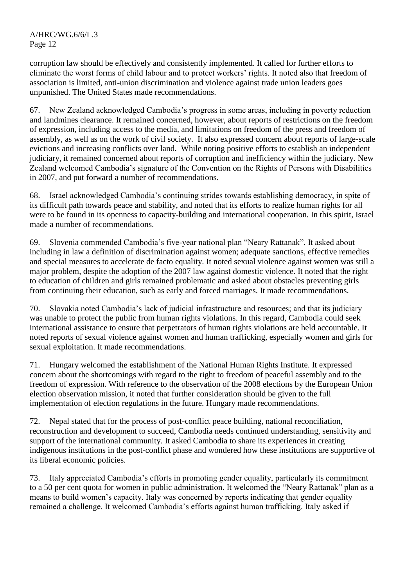corruption law should be effectively and consistently implemented. It called for further efforts to eliminate the worst forms of child labour and to protect workers' rights. It noted also that freedom of association is limited, anti-union discrimination and violence against trade union leaders goes unpunished. The United States made recommendations.

67. New Zealand acknowledged Cambodia's progress in some areas, including in poverty reduction and landmines clearance. It remained concerned, however, about reports of restrictions on the freedom of expression, including access to the media, and limitations on freedom of the press and freedom of assembly, as well as on the work of civil society. It also expressed concern about reports of large-scale evictions and increasing conflicts over land. While noting positive efforts to establish an independent judiciary, it remained concerned about reports of corruption and inefficiency within the judiciary. New Zealand welcomed Cambodia's signature of the Convention on the Rights of Persons with Disabilities in 2007, and put forward a number of recommendations.

68. Israel acknowledged Cambodia's continuing strides towards establishing democracy, in spite of its difficult path towards peace and stability, and noted that its efforts to realize human rights for all were to be found in its openness to capacity-building and international cooperation. In this spirit, Israel made a number of recommendations.

69. Slovenia commended Cambodia's five-year national plan "Neary Rattanak". It asked about including in law a definition of discrimination against women; adequate sanctions, effective remedies and special measures to accelerate de facto equality. It noted sexual violence against women was still a major problem, despite the adoption of the 2007 law against domestic violence. It noted that the right to education of children and girls remained problematic and asked about obstacles preventing girls from continuing their education, such as early and forced marriages. It made recommendations.

70. Slovakia noted Cambodia's lack of judicial infrastructure and resources; and that its judiciary was unable to protect the public from human rights violations. In this regard, Cambodia could seek international assistance to ensure that perpetrators of human rights violations are held accountable. It noted reports of sexual violence against women and human trafficking, especially women and girls for sexual exploitation. It made recommendations.

71. Hungary welcomed the establishment of the National Human Rights Institute. It expressed concern about the shortcomings with regard to the right to freedom of peaceful assembly and to the freedom of expression. With reference to the observation of the 2008 elections by the European Union election observation mission, it noted that further consideration should be given to the full implementation of election regulations in the future. Hungary made recommendations.

72. Nepal stated that for the process of post-conflict peace building, national reconciliation, reconstruction and development to succeed, Cambodia needs continued understanding, sensitivity and support of the international community. It asked Cambodia to share its experiences in creating indigenous institutions in the post-conflict phase and wondered how these institutions are supportive of its liberal economic policies.

73. Italy appreciated Cambodia's efforts in promoting gender equality, particularly its commitment to a 50 per cent quota for women in public administration. It welcomed the "Neary Rattanak" plan as a means to build women's capacity. Italy was concerned by reports indicating that gender equality remained a challenge. It welcomed Cambodia's efforts against human trafficking. Italy asked if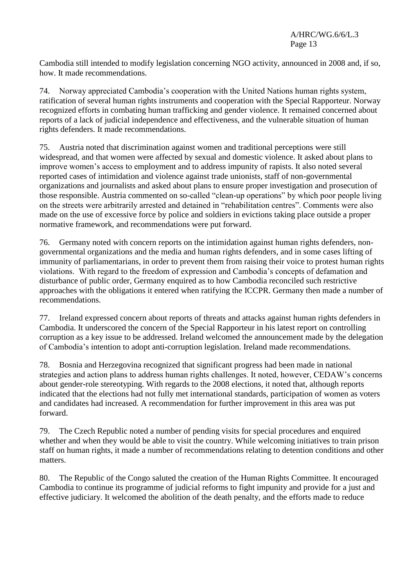Cambodia still intended to modify legislation concerning NGO activity, announced in 2008 and, if so, how. It made recommendations.

74. Norway appreciated Cambodia's cooperation with the United Nations human rights system, ratification of several human rights instruments and cooperation with the Special Rapporteur. Norway recognized efforts in combating human trafficking and gender violence. It remained concerned about reports of a lack of judicial independence and effectiveness, and the vulnerable situation of human rights defenders. It made recommendations.

75. Austria noted that discrimination against women and traditional perceptions were still widespread, and that women were affected by sexual and domestic violence. It asked about plans to improve women's access to employment and to address impunity of rapists. It also noted several reported cases of intimidation and violence against trade unionists, staff of non-governmental organizations and journalists and asked about plans to ensure proper investigation and prosecution of those responsible. Austria commented on so-called "clean-up operations" by which poor people living on the streets were arbitrarily arrested and detained in "rehabilitation centres". Comments were also made on the use of excessive force by police and soldiers in evictions taking place outside a proper normative framework, and recommendations were put forward.

76. Germany noted with concern reports on the intimidation against human rights defenders, nongovernmental organizations and the media and human rights defenders, and in some cases lifting of immunity of parliamentarians, in order to prevent them from raising their voice to protest human rights violations. With regard to the freedom of expression and Cambodia's concepts of defamation and disturbance of public order, Germany enquired as to how Cambodia reconciled such restrictive approaches with the obligations it entered when ratifying the ICCPR. Germany then made a number of recommendations.

77. Ireland expressed concern about reports of threats and attacks against human rights defenders in Cambodia. It underscored the concern of the Special Rapporteur in his latest report on controlling corruption as a key issue to be addressed. Ireland welcomed the announcement made by the delegation of Cambodia's intention to adopt anti-corruption legislation. Ireland made recommendations.

78. Bosnia and Herzegovina recognized that significant progress had been made in national strategies and action plans to address human rights challenges. It noted, however, CEDAW's concerns about gender-role stereotyping. With regards to the 2008 elections, it noted that, although reports indicated that the elections had not fully met international standards, participation of women as voters and candidates had increased. A recommendation for further improvement in this area was put forward.

79. The Czech Republic noted a number of pending visits for special procedures and enquired whether and when they would be able to visit the country. While welcoming initiatives to train prison staff on human rights, it made a number of recommendations relating to detention conditions and other matters.

80. The Republic of the Congo saluted the creation of the Human Rights Committee. It encouraged Cambodia to continue its programme of judicial reforms to fight impunity and provide for a just and effective judiciary. It welcomed the abolition of the death penalty, and the efforts made to reduce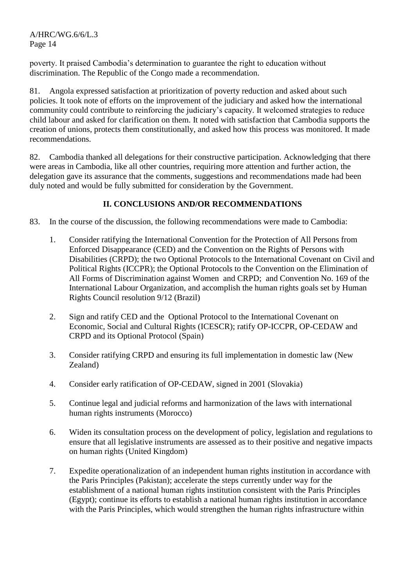poverty. It praised Cambodia's determination to guarantee the right to education without discrimination. The Republic of the Congo made a recommendation.

81. Angola expressed satisfaction at prioritization of poverty reduction and asked about such policies. It took note of efforts on the improvement of the judiciary and asked how the international community could contribute to reinforcing the judiciary's capacity. It welcomed strategies to reduce child labour and asked for clarification on them. It noted with satisfaction that Cambodia supports the creation of unions, protects them constitutionally, and asked how this process was monitored. It made recommendations.

82. Cambodia thanked all delegations for their constructive participation. Acknowledging that there were areas in Cambodia, like all other countries, requiring more attention and further action, the delegation gave its assurance that the comments, suggestions and recommendations made had been duly noted and would be fully submitted for consideration by the Government.

# **II. CONCLUSIONS AND/OR RECOMMENDATIONS**

- 83. In the course of the discussion, the following recommendations were made to Cambodia:
	- 1. Consider ratifying the International Convention for the Protection of All Persons from Enforced Disappearance (CED) and the Convention on the Rights of Persons with Disabilities (CRPD); the two Optional Protocols to the International Covenant on Civil and Political Rights (ICCPR); the Optional Protocols to the Convention on the Elimination of All Forms of Discrimination against Women and CRPD; and Convention No. 169 of the International Labour Organization, and accomplish the human rights goals set by Human Rights Council resolution 9/12 (Brazil)
	- 2. Sign and ratify CED and the Optional Protocol to the International Covenant on Economic, Social and Cultural Rights (ICESCR); ratify OP-ICCPR, OP-CEDAW and CRPD and its Optional Protocol (Spain)
	- 3. Consider ratifying CRPD and ensuring its full implementation in domestic law (New Zealand)
	- 4. Consider early ratification of OP-CEDAW, signed in 2001 (Slovakia)
	- 5. Continue legal and judicial reforms and harmonization of the laws with international human rights instruments (Morocco)
	- 6. Widen its consultation process on the development of policy, legislation and regulations to ensure that all legislative instruments are assessed as to their positive and negative impacts on human rights (United Kingdom)
	- 7. Expedite operationalization of an independent human rights institution in accordance with the Paris Principles (Pakistan); accelerate the steps currently under way for the establishment of a national human rights institution consistent with the Paris Principles (Egypt); continue its efforts to establish a national human rights institution in accordance with the Paris Principles, which would strengthen the human rights infrastructure within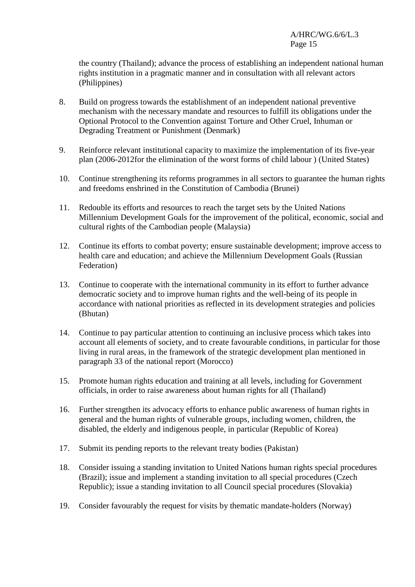the country (Thailand); advance the process of establishing an independent national human rights institution in a pragmatic manner and in consultation with all relevant actors (Philippines)

- 8. Build on progress towards the establishment of an independent national preventive mechanism with the necessary mandate and resources to fulfill its obligations under the Optional Protocol to the Convention against Torture and Other Cruel, Inhuman or Degrading Treatment or Punishment (Denmark)
- 9. Reinforce relevant institutional capacity to maximize the implementation of its five-year plan (2006-2012for the elimination of the worst forms of child labour ) (United States)
- 10. Continue strengthening its reforms programmes in all sectors to guarantee the human rights and freedoms enshrined in the Constitution of Cambodia (Brunei)
- 11. Redouble its efforts and resources to reach the target sets by the United Nations Millennium Development Goals for the improvement of the political, economic, social and cultural rights of the Cambodian people (Malaysia)
- 12. Continue its efforts to combat poverty; ensure sustainable development; improve access to health care and education; and achieve the Millennium Development Goals (Russian Federation)
- 13. Continue to cooperate with the international community in its effort to further advance democratic society and to improve human rights and the well-being of its people in accordance with national priorities as reflected in its development strategies and policies (Bhutan)
- 14. Continue to pay particular attention to continuing an inclusive process which takes into account all elements of society, and to create favourable conditions, in particular for those living in rural areas, in the framework of the strategic development plan mentioned in paragraph 33 of the national report (Morocco)
- 15. Promote human rights education and training at all levels, including for Government officials, in order to raise awareness about human rights for all (Thailand)
- 16. Further strengthen its advocacy efforts to enhance public awareness of human rights in general and the human rights of vulnerable groups, including women, children, the disabled, the elderly and indigenous people, in particular (Republic of Korea)
- 17. Submit its pending reports to the relevant treaty bodies (Pakistan)
- 18. Consider issuing a standing invitation to United Nations human rights special procedures (Brazil); issue and implement a standing invitation to all special procedures (Czech Republic); issue a standing invitation to all Council special procedures (Slovakia)
- 19. Consider favourably the request for visits by thematic mandate-holders (Norway)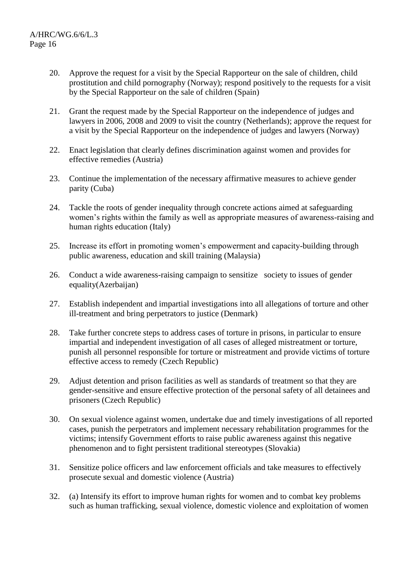- 20. Approve the request for a visit by the Special Rapporteur on the sale of children, child prostitution and child pornography (Norway); respond positively to the requests for a visit by the Special Rapporteur on the sale of children (Spain)
- 21. Grant the request made by the Special Rapporteur on the independence of judges and lawyers in 2006, 2008 and 2009 to visit the country (Netherlands); approve the request for a visit by the Special Rapporteur on the independence of judges and lawyers (Norway)
- 22. Enact legislation that clearly defines discrimination against women and provides for effective remedies (Austria)
- 23. Continue the implementation of the necessary affirmative measures to achieve gender parity (Cuba)
- 24. Tackle the roots of gender inequality through concrete actions aimed at safeguarding women's rights within the family as well as appropriate measures of awareness-raising and human rights education (Italy)
- 25. Increase its effort in promoting women's empowerment and capacity-building through public awareness, education and skill training (Malaysia)
- 26. Conduct a wide awareness-raising campaign to sensitize society to issues of gender equality(Azerbaijan)
- 27. Establish independent and impartial investigations into all allegations of torture and other ill-treatment and bring perpetrators to justice (Denmark)
- 28. Take further concrete steps to address cases of torture in prisons, in particular to ensure impartial and independent investigation of all cases of alleged mistreatment or torture, punish all personnel responsible for torture or mistreatment and provide victims of torture effective access to remedy (Czech Republic)
- 29. Adjust detention and prison facilities as well as standards of treatment so that they are gender-sensitive and ensure effective protection of the personal safety of all detainees and prisoners (Czech Republic)
- 30. On sexual violence against women, undertake due and timely investigations of all reported cases, punish the perpetrators and implement necessary rehabilitation programmes for the victims; intensify Government efforts to raise public awareness against this negative phenomenon and to fight persistent traditional stereotypes (Slovakia)
- 31. Sensitize police officers and law enforcement officials and take measures to effectively prosecute sexual and domestic violence (Austria)
- 32. (a) Intensify its effort to improve human rights for women and to combat key problems such as human trafficking, sexual violence, domestic violence and exploitation of women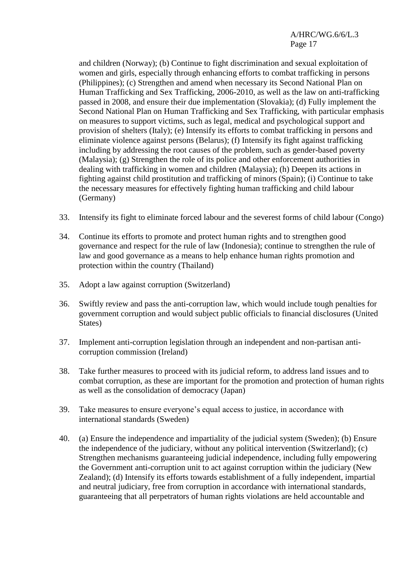and children (Norway); (b) Continue to fight discrimination and sexual exploitation of women and girls, especially through enhancing efforts to combat trafficking in persons (Philippines); (c) Strengthen and amend when necessary its Second National Plan on Human Trafficking and Sex Trafficking, 2006-2010, as well as the law on anti-trafficking passed in 2008, and ensure their due implementation (Slovakia); (d) Fully implement the Second National Plan on Human Trafficking and Sex Trafficking, with particular emphasis on measures to support victims, such as legal, medical and psychological support and provision of shelters (Italy); (e) Intensify its efforts to combat trafficking in persons and eliminate violence against persons (Belarus); (f) Intensify its fight against trafficking including by addressing the root causes of the problem, such as gender-based poverty (Malaysia); (g) Strengthen the role of its police and other enforcement authorities in dealing with trafficking in women and children (Malaysia); (h) Deepen its actions in fighting against child prostitution and trafficking of minors (Spain); (i) Continue to take the necessary measures for effectively fighting human trafficking and child labour (Germany)

- 33. Intensify its fight to eliminate forced labour and the severest forms of child labour (Congo)
- 34. Continue its efforts to promote and protect human rights and to strengthen good governance and respect for the rule of law (Indonesia); continue to strengthen the rule of law and good governance as a means to help enhance human rights promotion and protection within the country (Thailand)
- 35. Adopt a law against corruption (Switzerland)
- 36. Swiftly review and pass the anti-corruption law, which would include tough penalties for government corruption and would subject public officials to financial disclosures (United States)
- 37. Implement anti-corruption legislation through an independent and non-partisan anticorruption commission (Ireland)
- 38. Take further measures to proceed with its judicial reform, to address land issues and to combat corruption, as these are important for the promotion and protection of human rights as well as the consolidation of democracy (Japan)
- 39. Take measures to ensure everyone's equal access to justice, in accordance with international standards (Sweden)
- 40. (a) Ensure the independence and impartiality of the judicial system (Sweden); (b) Ensure the independence of the judiciary, without any political intervention (Switzerland); (c) Strengthen mechanisms guaranteeing judicial independence, including fully empowering the Government anti-corruption unit to act against corruption within the judiciary (New Zealand); (d) Intensify its efforts towards establishment of a fully independent, impartial and neutral judiciary, free from corruption in accordance with international standards, guaranteeing that all perpetrators of human rights violations are held accountable and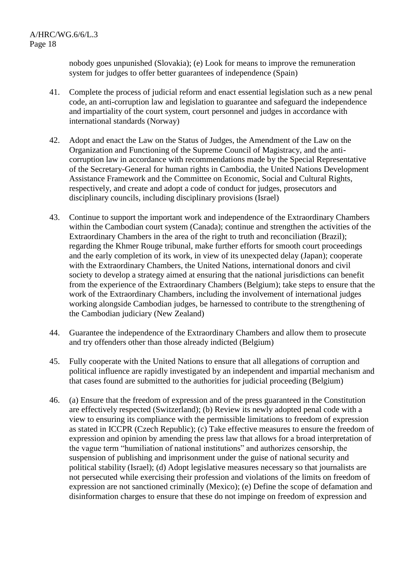nobody goes unpunished (Slovakia); (e) Look for means to improve the remuneration system for judges to offer better guarantees of independence (Spain)

- 41. Complete the process of judicial reform and enact essential legislation such as a new penal code, an anti-corruption law and legislation to guarantee and safeguard the independence and impartiality of the court system, court personnel and judges in accordance with international standards (Norway)
- 42. Adopt and enact the Law on the Status of Judges, the Amendment of the Law on the Organization and Functioning of the Supreme Council of Magistracy, and the anticorruption law in accordance with recommendations made by the Special Representative of the Secretary-General for human rights in Cambodia, the United Nations Development Assistance Framework and the Committee on Economic, Social and Cultural Rights, respectively, and create and adopt a code of conduct for judges, prosecutors and disciplinary councils, including disciplinary provisions (Israel)
- 43. Continue to support the important work and independence of the Extraordinary Chambers within the Cambodian court system (Canada); continue and strengthen the activities of the Extraordinary Chambers in the area of the right to truth and reconciliation (Brazil); regarding the Khmer Rouge tribunal, make further efforts for smooth court proceedings and the early completion of its work, in view of its unexpected delay (Japan); cooperate with the Extraordinary Chambers, the United Nations, international donors and civil society to develop a strategy aimed at ensuring that the national jurisdictions can benefit from the experience of the Extraordinary Chambers (Belgium); take steps to ensure that the work of the Extraordinary Chambers, including the involvement of international judges working alongside Cambodian judges, be harnessed to contribute to the strengthening of the Cambodian judiciary (New Zealand)
- 44. Guarantee the independence of the Extraordinary Chambers and allow them to prosecute and try offenders other than those already indicted (Belgium)
- 45. Fully cooperate with the United Nations to ensure that all allegations of corruption and political influence are rapidly investigated by an independent and impartial mechanism and that cases found are submitted to the authorities for judicial proceeding (Belgium)
- 46. (a) Ensure that the freedom of expression and of the press guaranteed in the Constitution are effectively respected (Switzerland); (b) Review its newly adopted penal code with a view to ensuring its compliance with the permissible limitations to freedom of expression as stated in ICCPR (Czech Republic); (c) Take effective measures to ensure the freedom of expression and opinion by amending the press law that allows for a broad interpretation of the vague term "humiliation of national institutions" and authorizes censorship, the suspension of publishing and imprisonment under the guise of national security and political stability (Israel); (d) Adopt legislative measures necessary so that journalists are not persecuted while exercising their profession and violations of the limits on freedom of expression are not sanctioned criminally (Mexico); (e) Define the scope of defamation and disinformation charges to ensure that these do not impinge on freedom of expression and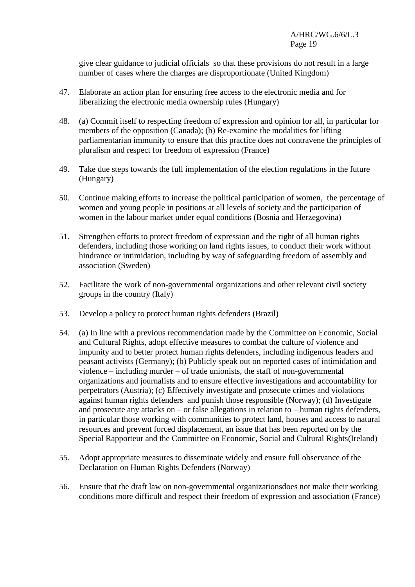give clear guidance to judicial officials so that these provisions do not result in a large number of cases where the charges are disproportionate (United Kingdom)

- 47. Elaborate an action plan for ensuring free access to the electronic media and for liberalizing the electronic media ownership rules (Hungary)
- 48. (a) Commit itself to respecting freedom of expression and opinion for all, in particular for members of the opposition (Canada); (b) Re-examine the modalities for lifting parliamentarian immunity to ensure that this practice does not contravene the principles of pluralism and respect for freedom of expression (France)
- 49. Take due steps towards the full implementation of the election regulations in the future (Hungary)
- 50. Continue making efforts to increase the political participation of women, the percentage of women and young people in positions at all levels of society and the participation of women in the labour market under equal conditions (Bosnia and Herzegovina)
- 51. Strengthen efforts to protect freedom of expression and the right of all human rights defenders, including those working on land rights issues, to conduct their work without hindrance or intimidation, including by way of safeguarding freedom of assembly and association (Sweden)
- 52. Facilitate the work of non-governmental organizations and other relevant civil society groups in the country (Italy)
- 53. Develop a policy to protect human rights defenders (Brazil)
- 54. (a) In line with a previous recommendation made by the Committee on Economic, Social and Cultural Rights, adopt effective measures to combat the culture of violence and impunity and to better protect human rights defenders, including indigenous leaders and peasant activists (Germany); (b) Publicly speak out on reported cases of intimidation and violence – including murder – of trade unionists, the staff of non-governmental organizations and journalists and to ensure effective investigations and accountability for perpetrators (Austria); (c) Effectively investigate and prosecute crimes and violations against human rights defenders and punish those responsible (Norway); (d) Investigate and prosecute any attacks on – or false allegations in relation to – human rights defenders, in particular those working with communities to protect land, houses and access to natural resources and prevent forced displacement, an issue that has been reported on by the Special Rapporteur and the Committee on Economic, Social and Cultural Rights(Ireland)
- 55. Adopt appropriate measures to disseminate widely and ensure full observance of the Declaration on Human Rights Defenders (Norway)
- 56. Ensure that the draft law on non-governmental organizationsdoes not make their working conditions more difficult and respect their freedom of expression and association (France)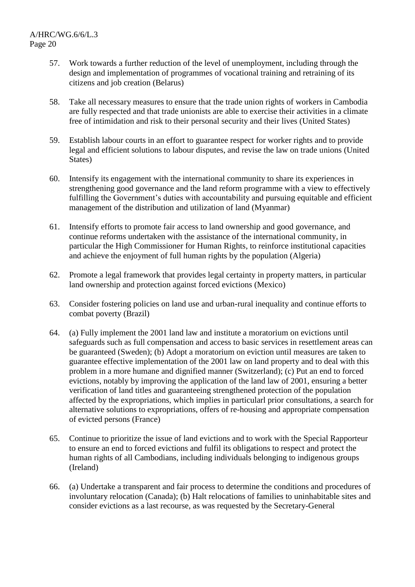- 57. Work towards a further reduction of the level of unemployment, including through the design and implementation of programmes of vocational training and retraining of its citizens and job creation (Belarus)
- 58. Take all necessary measures to ensure that the trade union rights of workers in Cambodia are fully respected and that trade unionists are able to exercise their activities in a climate free of intimidation and risk to their personal security and their lives (United States)
- 59. Establish labour courts in an effort to guarantee respect for worker rights and to provide legal and efficient solutions to labour disputes, and revise the law on trade unions (United States)
- 60. Intensify its engagement with the international community to share its experiences in strengthening good governance and the land reform programme with a view to effectively fulfilling the Government's duties with accountability and pursuing equitable and efficient management of the distribution and utilization of land (Myanmar)
- 61. Intensify efforts to promote fair access to land ownership and good governance, and continue reforms undertaken with the assistance of the international community, in particular the High Commissioner for Human Rights, to reinforce institutional capacities and achieve the enjoyment of full human rights by the population (Algeria)
- 62. Promote a legal framework that provides legal certainty in property matters, in particular land ownership and protection against forced evictions (Mexico)
- 63. Consider fostering policies on land use and urban-rural inequality and continue efforts to combat poverty (Brazil)
- 64. (a) Fully implement the 2001 land law and institute a moratorium on evictions until safeguards such as full compensation and access to basic services in resettlement areas can be guaranteed (Sweden); (b) Adopt a moratorium on eviction until measures are taken to guarantee effective implementation of the 2001 law on land property and to deal with this problem in a more humane and dignified manner (Switzerland); (c) Put an end to forced evictions, notably by improving the application of the land law of 2001, ensuring a better verification of land titles and guaranteeing strengthened protection of the population affected by the expropriations, which implies in particularl prior consultations, a search for alternative solutions to expropriations, offers of re-housing and appropriate compensation of evicted persons (France)
- 65. Continue to prioritize the issue of land evictions and to work with the Special Rapporteur to ensure an end to forced evictions and fulfil its obligations to respect and protect the human rights of all Cambodians, including individuals belonging to indigenous groups (Ireland)
- 66. (a) Undertake a transparent and fair process to determine the conditions and procedures of involuntary relocation (Canada); (b) Halt relocations of families to uninhabitable sites and consider evictions as a last recourse, as was requested by the Secretary-General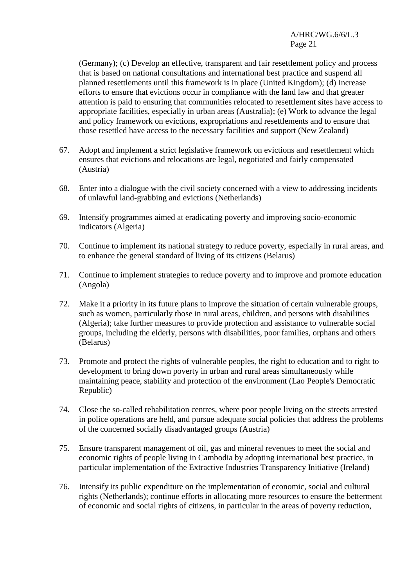(Germany); (c) Develop an effective, transparent and fair resettlement policy and process that is based on national consultations and international best practice and suspend all planned resettlements until this framework is in place (United Kingdom); (d) Increase efforts to ensure that evictions occur in compliance with the land law and that greater attention is paid to ensuring that communities relocated to resettlement sites have access to appropriate facilities, especially in urban areas (Australia); (e) Work to advance the legal and policy framework on evictions, expropriations and resettlements and to ensure that those resettled have access to the necessary facilities and support (New Zealand)

- 67. Adopt and implement a strict legislative framework on evictions and resettlement which ensures that evictions and relocations are legal, negotiated and fairly compensated (Austria)
- 68. Enter into a dialogue with the civil society concerned with a view to addressing incidents of unlawful land-grabbing and evictions (Netherlands)
- 69. Intensify programmes aimed at eradicating poverty and improving socio-economic indicators (Algeria)
- 70. Continue to implement its national strategy to reduce poverty, especially in rural areas, and to enhance the general standard of living of its citizens (Belarus)
- 71. Continue to implement strategies to reduce poverty and to improve and promote education (Angola)
- 72. Make it a priority in its future plans to improve the situation of certain vulnerable groups, such as women, particularly those in rural areas, children, and persons with disabilities (Algeria); take further measures to provide protection and assistance to vulnerable social groups, including the elderly, persons with disabilities, poor families, orphans and others (Belarus)
- 73. Promote and protect the rights of vulnerable peoples, the right to education and to right to development to bring down poverty in urban and rural areas simultaneously while maintaining peace, stability and protection of the environment (Lao People's Democratic Republic)
- 74. Close the so-called rehabilitation centres, where poor people living on the streets arrested in police operations are held, and pursue adequate social policies that address the problems of the concerned socially disadvantaged groups (Austria)
- 75. Ensure transparent management of oil, gas and mineral revenues to meet the social and economic rights of people living in Cambodia by adopting international best practice, in particular implementation of the Extractive Industries Transparency Initiative (Ireland)
- 76. Intensify its public expenditure on the implementation of economic, social and cultural rights (Netherlands); continue efforts in allocating more resources to ensure the betterment of economic and social rights of citizens, in particular in the areas of poverty reduction,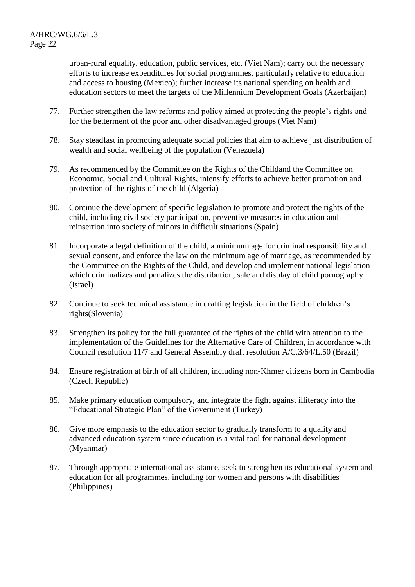urban-rural equality, education, public services, etc. (Viet Nam); carry out the necessary efforts to increase expenditures for social programmes, particularly relative to education and access to housing (Mexico); further increase its national spending on health and education sectors to meet the targets of the Millennium Development Goals (Azerbaijan)

- 77. Further strengthen the law reforms and policy aimed at protecting the people's rights and for the betterment of the poor and other disadvantaged groups (Viet Nam)
- 78. Stay steadfast in promoting adequate social policies that aim to achieve just distribution of wealth and social wellbeing of the population (Venezuela)
- 79. As recommended by the Committee on the Rights of the Childand the Committee on Economic, Social and Cultural Rights, intensify efforts to achieve better promotion and protection of the rights of the child (Algeria)
- 80. Continue the development of specific legislation to promote and protect the rights of the child, including civil society participation, preventive measures in education and reinsertion into society of minors in difficult situations (Spain)
- 81. Incorporate a legal definition of the child, a minimum age for criminal responsibility and sexual consent, and enforce the law on the minimum age of marriage, as recommended by the Committee on the Rights of the Child, and develop and implement national legislation which criminalizes and penalizes the distribution, sale and display of child pornography (Israel)
- 82. Continue to seek technical assistance in drafting legislation in the field of children's rights(Slovenia)
- 83. Strengthen its policy for the full guarantee of the rights of the child with attention to the implementation of the Guidelines for the Alternative Care of Children, in accordance with Council resolution 11/7 and General Assembly draft resolution A/C.3/64/L.50 (Brazil)
- 84. Ensure registration at birth of all children, including non-Khmer citizens born in Cambodia (Czech Republic)
- 85. Make primary education compulsory, and integrate the fight against illiteracy into the "Educational Strategic Plan" of the Government (Turkey)
- 86. Give more emphasis to the education sector to gradually transform to a quality and advanced education system since education is a vital tool for national development (Myanmar)
- 87. Through appropriate international assistance, seek to strengthen its educational system and education for all programmes, including for women and persons with disabilities (Philippines)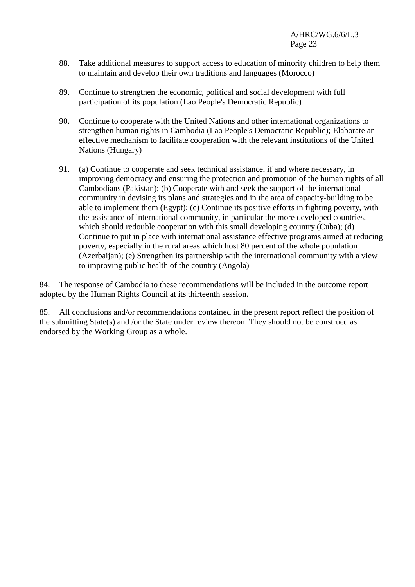- 88. Take additional measures to support access to education of minority children to help them to maintain and develop their own traditions and languages (Morocco)
- 89. Continue to strengthen the economic, political and social development with full participation of its population (Lao People's Democratic Republic)
- 90. Continue to cooperate with the United Nations and other international organizations to strengthen human rights in Cambodia (Lao People's Democratic Republic); Elaborate an effective mechanism to facilitate cooperation with the relevant institutions of the United Nations (Hungary)
- 91. (a) Continue to cooperate and seek technical assistance, if and where necessary, in improving democracy and ensuring the protection and promotion of the human rights of all Cambodians (Pakistan); (b) Cooperate with and seek the support of the international community in devising its plans and strategies and in the area of capacity-building to be able to implement them (Egypt); (c) Continue its positive efforts in fighting poverty, with the assistance of international community, in particular the more developed countries, which should redouble cooperation with this small developing country (Cuba); (d) Continue to put in place with international assistance effective programs aimed at reducing poverty, especially in the rural areas which host 80 percent of the whole population (Azerbaijan); (e) Strengthen its partnership with the international community with a view to improving public health of the country (Angola)

84. The response of Cambodia to these recommendations will be included in the outcome report adopted by the Human Rights Council at its thirteenth session.

85. All conclusions and/or recommendations contained in the present report reflect the position of the submitting State(s) and /or the State under review thereon. They should not be construed as endorsed by the Working Group as a whole.